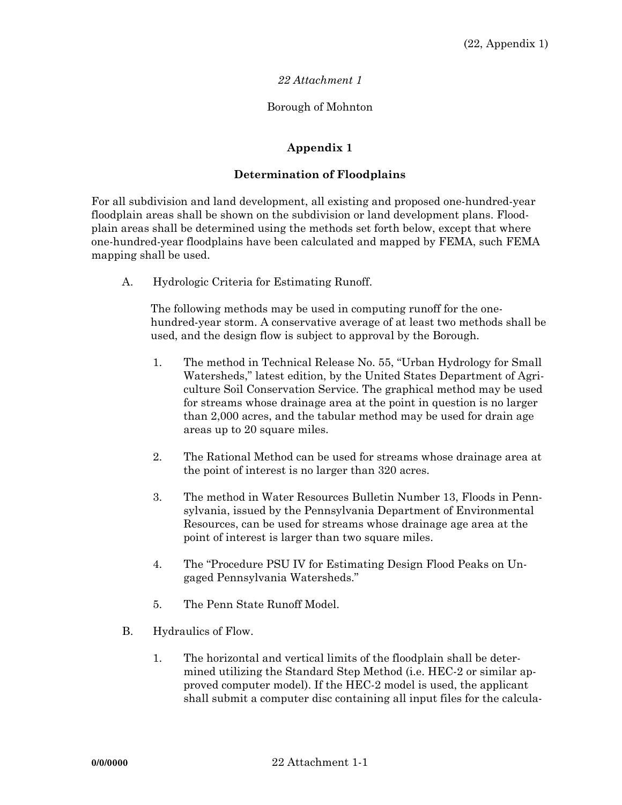## *22 Attachment 1*

## Borough of Mohnton

## **Appendix 1**

## **Determination of Floodplains**

For all subdivision and land development, all existing and proposed one-hundred-year floodplain areas shall be shown on the subdivision or land development plans. Floodplain areas shall be determined using the methods set forth below, except that where one-hundred-year floodplains have been calculated and mapped by FEMA, such FEMA mapping shall be used.

A. Hydrologic Criteria for Estimating Runoff.

The following methods may be used in computing runoff for the onehundred-year storm. A conservative average of at least two methods shall be used, and the design flow is subject to approval by the Borough.

- 1. The method in Technical Release No. 55, "Urban Hydrology for Small Watersheds," latest edition, by the United States Department of Agriculture Soil Conservation Service. The graphical method may be used for streams whose drainage area at the point in question is no larger than 2,000 acres, and the tabular method may be used for drain age areas up to 20 square miles.
- 2. The Rational Method can be used for streams whose drainage area at the point of interest is no larger than 320 acres.
- 3. The method in Water Resources Bulletin Number 13, Floods in Pennsylvania, issued by the Pennsylvania Department of Environmental Resources, can be used for streams whose drainage age area at the point of interest is larger than two square miles.
- 4. The "Procedure PSU IV for Estimating Design Flood Peaks on Ungaged Pennsylvania Watersheds."
- 5. The Penn State Runoff Model.
- B. Hydraulics of Flow.
	- 1. The horizontal and vertical limits of the floodplain shall be determined utilizing the Standard Step Method (i.e. HEC-2 or similar approved computer model). If the HEC-2 model is used, the applicant shall submit a computer disc containing all input files for the calcula-